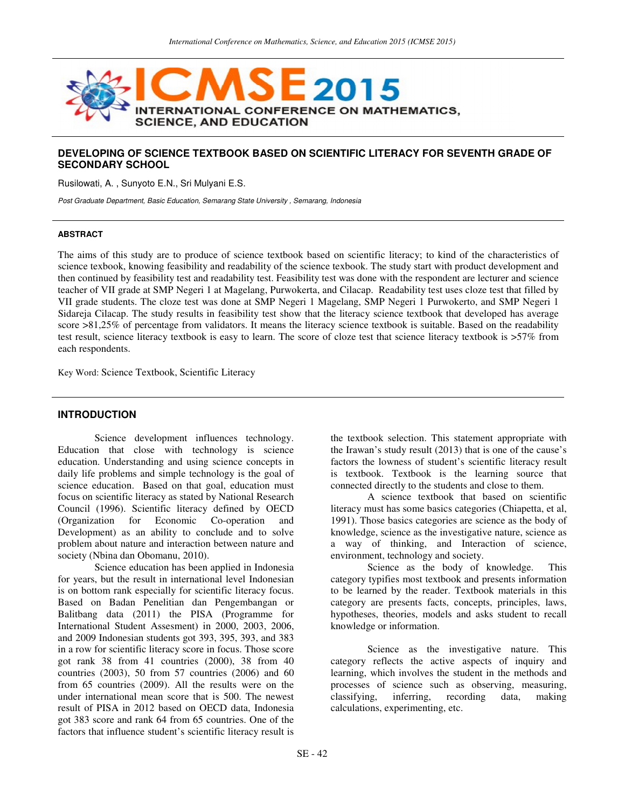

# **DEVELOPING OF SCIENCE TEXTBOOK BASED ON SCIENTIFIC LITERACY FOR SEVENTH GRADE OF SECONDARY SCHOOL**

Rusilowati, A. , Sunyoto E.N., Sri Mulyani E.S.

Post Graduate Department, Basic Education, Semarang State University , Semarang, Indonesia

#### **ABSTRACT**

The aims of this study are to produce of science textbook based on scientific literacy; to kind of the characteristics of science texbook, knowing feasibility and readability of the science texbook. The study start with product development and then continued by feasibility test and readability test. Feasibility test was done with the respondent are lecturer and science teacher of VII grade at SMP Negeri 1 at Magelang, Purwokerta, and Cilacap. Readability test uses cloze test that filled by VII grade students. The cloze test was done at SMP Negeri 1 Magelang, SMP Negeri 1 Purwokerto, and SMP Negeri 1 Sidareja Cilacap. The study results in feasibility test show that the literacy science textbook that developed has average score >81,25% of percentage from validators. It means the literacy science textbook is suitable. Based on the readability test result, science literacy textbook is easy to learn. The score of cloze test that science literacy textbook is >57% from each respondents.

Key Word: Science Textbook, Scientific Literacy

### **INTRODUCTION**

Science development influences technology. Education that close with technology is science education. Understanding and using science concepts in daily life problems and simple technology is the goal of science education. Based on that goal, education must focus on scientific literacy as stated by National Research Council (1996). Scientific literacy defined by OECD (Organization for Economic Co-operation and Development) as an ability to conclude and to solve problem about nature and interaction between nature and society (Nbina dan Obomanu, 2010).

Science education has been applied in Indonesia for years, but the result in international level Indonesian is on bottom rank especially for scientific literacy focus. Based on Badan Penelitian dan Pengembangan or Balitbang data (2011) the PISA (Programme for International Student Assesment) in 2000, 2003, 2006, and 2009 Indonesian students got 393, 395, 393, and 383 in a row for scientific literacy score in focus. Those score got rank 38 from 41 countries (2000), 38 from 40 countries (2003), 50 from 57 countries (2006) and 60 from 65 countries (2009). All the results were on the under international mean score that is 500. The newest result of PISA in 2012 based on OECD data, Indonesia got 383 score and rank 64 from 65 countries. One of the factors that influence student's scientific literacy result is

the textbook selection. This statement appropriate with the Irawan's study result (2013) that is one of the cause's factors the lowness of student's scientific literacy result is textbook. Textbook is the learning source that connected directly to the students and close to them.

A science textbook that based on scientific literacy must has some basics categories (Chiapetta, et al, 1991). Those basics categories are science as the body of knowledge, science as the investigative nature, science as a way of thinking, and Interaction of science, environment, technology and society.

Science as the body of knowledge. This category typifies most textbook and presents information to be learned by the reader. Textbook materials in this category are presents facts, concepts, principles, laws, hypotheses, theories, models and asks student to recall knowledge or information.

Science as the investigative nature. This category reflects the active aspects of inquiry and learning, which involves the student in the methods and processes of science such as observing, measuring, classifying, inferring, recording data, making classifying, inferring, recording data, making calculations, experimenting, etc.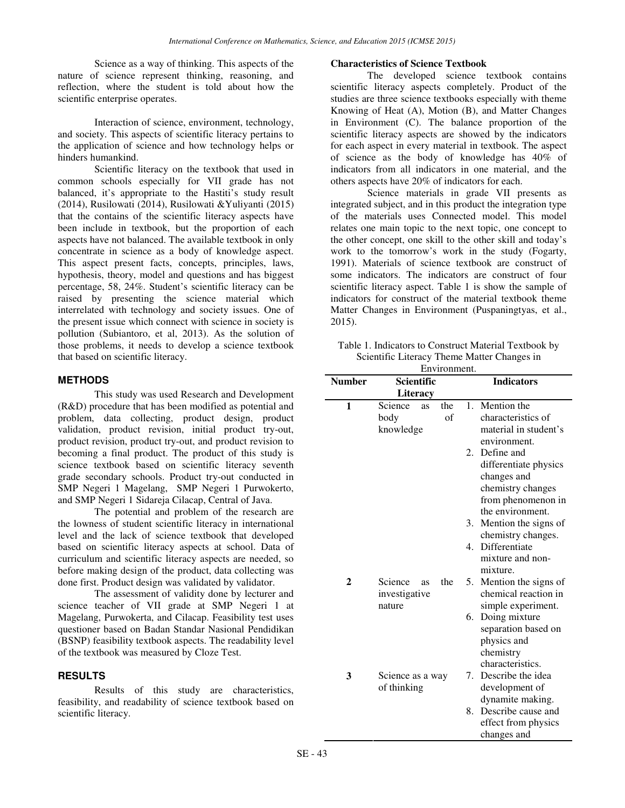Science as a way of thinking. This aspects of the nature of science represent thinking, reasoning, and reflection, where the student is told about how the scientific enterprise operates.

Interaction of science, environment, technology, and society. This aspects of scientific literacy pertains to the application of science and how technology helps or hinders humankind.

Scientific literacy on the textbook that used in common schools especially for VII grade has not balanced, it's appropriate to the Hastiti's study result (2014), Rusilowati (2014), Rusilowati &Yuliyanti (2015) that the contains of the scientific literacy aspects have been include in textbook, but the proportion of each aspects have not balanced. The available textbook in only concentrate in science as a body of knowledge aspect. This aspect present facts, concepts, principles, laws, hypothesis, theory, model and questions and has biggest percentage, 58, 24%. Student's scientific literacy can be raised by presenting the science material which interrelated with technology and society issues. One of the present issue which connect with science in society is pollution (Subiantoro, et al, 2013). As the solution of those problems, it needs to develop a science textbook that based on scientific literacy.

## **METHODS**

This study was used Research and Development (R&D) procedure that has been modified as potential and problem, data collecting, product design, product validation, product revision, initial product try-out, product revision, product try-out, and product revision to becoming a final product. The product of this study is science textbook based on scientific literacy seventh grade secondary schools. Product try-out conducted in SMP Negeri 1 Magelang, SMP Negeri 1 Purwokerto, and SMP Negeri 1 Sidareja Cilacap, Central of Java.

The potential and problem of the research are the lowness of student scientific literacy in international level and the lack of science textbook that developed based on scientific literacy aspects at school. Data of curriculum and scientific literacy aspects are needed, so before making design of the product, data collecting was done first. Product design was validated by validator.

The assessment of validity done by lecturer and science teacher of VII grade at SMP Negeri 1 at Magelang, Purwokerta, and Cilacap. Feasibility test uses questioner based on Badan Standar Nasional Pendidikan (BSNP) feasibility textbook aspects. The readability level of the textbook was measured by Cloze Test.

# **RESULTS**

Results of this study are characteristics, feasibility, and readability of science textbook based on scientific literacy.

#### **Characteristics of Science Textbook**

The developed science textbook contains scientific literacy aspects completely. Product of the studies are three science textbooks especially with theme Knowing of Heat (A), Motion (B), and Matter Changes in Environment (C). The balance proportion of the scientific literacy aspects are showed by the indicators for each aspect in every material in textbook. The aspect of science as the body of knowledge has 40% of indicators from all indicators in one material, and the others aspects have 20% of indicators for each.

Science materials in grade VII presents as integrated subject, and in this product the integration type of the materials uses Connected model. This model relates one main topic to the next topic, one concept to the other concept, one skill to the other skill and today's work to the tomorrow's work in the study (Fogarty, 1991). Materials of science textbook are construct of some indicators. The indicators are construct of four scientific literacy aspect. Table 1 is show the sample of indicators for construct of the material textbook theme Matter Changes in Environment (Puspaningtyas, et al., 2015).

Table 1. Indicators to Construct Material Textbook by Scientific Literacy Theme Matter Changes in

| Environment.  |                      |     |             |                                        |  |  |
|---------------|----------------------|-----|-------------|----------------------------------------|--|--|
| <b>Number</b> | Scientific           |     |             | <b>Indicators</b>                      |  |  |
|               | Literacy             |     |             |                                        |  |  |
| 1             | Science<br><b>as</b> | the |             | 1. Mention the                         |  |  |
|               | body                 | of  |             | characteristics of                     |  |  |
|               | knowledge            |     |             | material in student's                  |  |  |
|               |                      |     |             | environment.                           |  |  |
|               |                      |     | 2.          | Define and                             |  |  |
|               |                      |     |             | differentiate physics                  |  |  |
|               |                      |     |             | changes and                            |  |  |
|               |                      |     |             | chemistry changes                      |  |  |
|               |                      |     |             | from phenomenon in                     |  |  |
|               |                      |     |             | the environment.                       |  |  |
|               |                      |     | 3.          | Mention the signs of                   |  |  |
|               |                      |     |             | chemistry changes.                     |  |  |
|               |                      |     | $4_{\cdot}$ | Differentiate                          |  |  |
|               |                      |     |             | mixture and non-                       |  |  |
|               |                      |     |             | mixture.                               |  |  |
| 2             | Science<br><b>as</b> | the | 5.          | Mention the signs of                   |  |  |
|               | investigative        |     |             | chemical reaction in                   |  |  |
|               | nature               |     |             | simple experiment.                     |  |  |
|               |                      |     | 6.          | Doing mixture                          |  |  |
|               |                      |     |             | separation based on                    |  |  |
|               |                      |     |             | physics and                            |  |  |
|               |                      |     |             | chemistry<br>characteristics.          |  |  |
|               |                      |     |             |                                        |  |  |
| 3             | Science as a way     |     |             | 7. Describe the idea                   |  |  |
|               | of thinking          |     |             | development of                         |  |  |
|               |                      |     | 8.          | dynamite making.<br>Describe cause and |  |  |
|               |                      |     |             |                                        |  |  |
|               |                      |     |             | effect from physics                    |  |  |
|               |                      |     |             | changes and                            |  |  |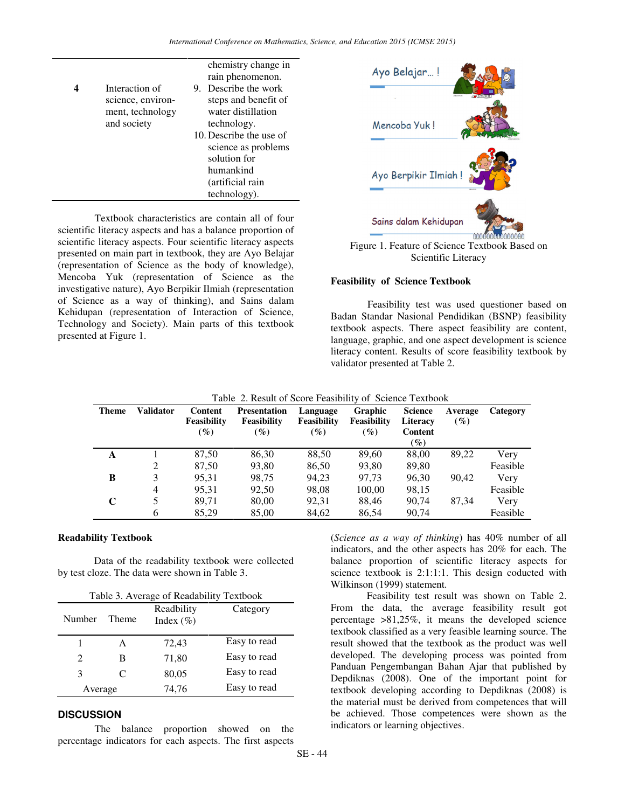|                   | chemistry change in     |
|-------------------|-------------------------|
|                   | rain phenomenon.        |
| Interaction of    | Describe the work<br>9. |
| science, environ- | steps and benefit of    |
| ment, technology  | water distillation      |
| and society       | technology.             |
|                   | 10. Describe the use of |
|                   | science as problems     |
|                   | solution for            |
|                   | humankind               |
|                   | (artificial rain        |
|                   | technology).            |

Textbook characteristics are contain all of four scientific literacy aspects and has a balance proportion of scientific literacy aspects. Four scientific literacy aspects presented on main part in textbook, they are Ayo Belajar (representation of Science as the body of knowledge), Mencoba Yuk (representation of Science as the investigative nature), Ayo Berpikir Ilmiah (representation of Science as a way of thinking), and Sains dalam Kehidupan (representation of Interaction of Science, Technology and Society). Main parts of this textbook presented at Figure 1.



Figure 1. Feature of Science Textbook Based on Scientific Literacy

# **Feasibility of Science Textbook**

Feasibility test was used questioner based on Badan Standar Nasional Pendidikan (BSNP) feasibility textbook aspects. There aspect feasibility are content, language, graphic, and one aspect development is science literacy content. Results of score feasibility textbook by validator presented at Table 2.

| <b>Theme</b> | <b>Validator</b> | Content<br>Feasibility<br>$($ %) | <b>Presentation</b><br><b>Feasibility</b><br>$(\%)$ | Language<br>Feasibility<br>$($ %) | Graphic<br>Feasibility<br>$($ %) | <b>Science</b><br>Literacy<br>Content<br>$(\%)$ | Average<br>$($ %) | Category |
|--------------|------------------|----------------------------------|-----------------------------------------------------|-----------------------------------|----------------------------------|-------------------------------------------------|-------------------|----------|
| A            |                  | 87.50                            | 86,30                                               | 88,50                             | 89.60                            | 88,00                                           | 89.22             | Very     |
|              | 2                | 87,50                            | 93,80                                               | 86,50                             | 93,80                            | 89,80                                           |                   | Feasible |
| B            | 3                | 95,31                            | 98,75                                               | 94,23                             | 97,73                            | 96,30                                           | 90.42             | Very     |
|              | 4                | 95.31                            | 92,50                                               | 98,08                             | 100,00                           | 98,15                                           |                   | Feasible |
| C            | 5.               | 89,71                            | 80,00                                               | 92,31                             | 88,46                            | 90,74                                           | 87.34             | Very     |
|              | 6                | 85,29                            | 85,00                                               | 84,62                             | 86,54                            | 90,74                                           |                   | Feasible |

### **Readability Textbook**

Data of the readability textbook were collected by test cloze. The data were shown in Table 3.

| Table 3. Average of Readability Textbook |       |                             |              |  |
|------------------------------------------|-------|-----------------------------|--------------|--|
| Number                                   | Theme | Readbility<br>Index $(\% )$ | Category     |  |
| 1                                        | А     | 72,43                       | Easy to read |  |
| 2                                        | в     | 71,80                       | Easy to read |  |
| 3                                        | C     | 80,05                       | Easy to read |  |
| Average                                  |       | 74,76                       | Easy to read |  |

# **DISCUSSION**

 The balance proportion showed on the percentage indicators for each aspects. The first aspects (*Science as a way of thinking*) has 40% number of all indicators, and the other aspects has 20% for each. The balance proportion of scientific literacy aspects for science textbook is 2:1:1:1. This design coducted with Wilkinson (1999) statement.

Feasibility test result was shown on Table 2. From the data, the average feasibility result got percentage >81,25%, it means the developed science textbook classified as a very feasible learning source. The result showed that the textbook as the product was well developed. The developing process was pointed from Panduan Pengembangan Bahan Ajar that published by Depdiknas (2008). One of the important point for textbook developing according to Depdiknas (2008) is the material must be derived from competences that will be achieved. Those competences were shown as the indicators or learning objectives.